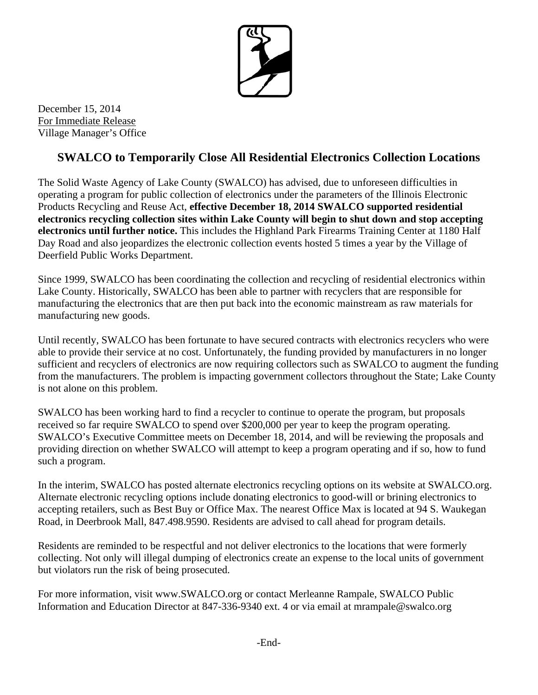

December 15, 2014 For Immediate Release Village Manager's Office

## **SWALCO to Temporarily Close All Residential Electronics Collection Locations**

The Solid Waste Agency of Lake County (SWALCO) has advised, due to unforeseen difficulties in operating a program for public collection of electronics under the parameters of the Illinois Electronic Products Recycling and Reuse Act, **effective December 18, 2014 SWALCO supported residential electronics recycling collection sites within Lake County will begin to shut down and stop accepting electronics until further notice.** This includes the Highland Park Firearms Training Center at 1180 Half Day Road and also jeopardizes the electronic collection events hosted 5 times a year by the Village of Deerfield Public Works Department.

Since 1999, SWALCO has been coordinating the collection and recycling of residential electronics within Lake County. Historically, SWALCO has been able to partner with recyclers that are responsible for manufacturing the electronics that are then put back into the economic mainstream as raw materials for manufacturing new goods.

Until recently, SWALCO has been fortunate to have secured contracts with electronics recyclers who were able to provide their service at no cost. Unfortunately, the funding provided by manufacturers in no longer sufficient and recyclers of electronics are now requiring collectors such as SWALCO to augment the funding from the manufacturers. The problem is impacting government collectors throughout the State; Lake County is not alone on this problem.

SWALCO has been working hard to find a recycler to continue to operate the program, but proposals received so far require SWALCO to spend over \$200,000 per year to keep the program operating. SWALCO's Executive Committee meets on December 18, 2014, and will be reviewing the proposals and providing direction on whether SWALCO will attempt to keep a program operating and if so, how to fund such a program.

In the interim, SWALCO has posted alternate electronics recycling options on its website at SWALCO.org. Alternate electronic recycling options include donating electronics to good-will or brining electronics to accepting retailers, such as Best Buy or Office Max. The nearest Office Max is located at 94 S. Waukegan Road, in Deerbrook Mall, 847.498.9590. Residents are advised to call ahead for program details.

Residents are reminded to be respectful and not deliver electronics to the locations that were formerly collecting. Not only will illegal dumping of electronics create an expense to the local units of government but violators run the risk of being prosecuted.

For more information, visit www.SWALCO.org or contact Merleanne Rampale, SWALCO Public Information and Education Director at 847-336-9340 ext. 4 or via email at mrampale@swalco.org